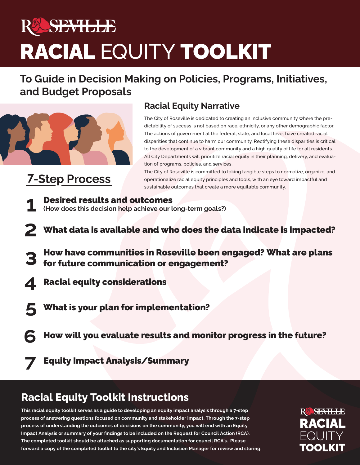# YEN ZILLER RACIAL EQUITY TOOLKIT

# **To Guide in Decision Making on Policies, Programs, Initiatives, and Budget Proposals**



# **7-Step Process**

## **Racial Equity Narrative**

The City of Roseville is dedicated to creating an inclusive community where the predictability of success is not based on race, ethnicity, or any other demographic factor. The actions of government at the federal, state, and local level have created racial disparities that continue to harm our community. Rectifying these disparities is critical to the development of a vibrant community and a high quality of life for all residents. All City Departments will prioritize racial equity in their planning, delivery, and evaluation of programs, policies, and services.

The City of Roseville is committed to taking tangible steps to normalize, organize, and operationalize racial equity principles and tools, with an eye toward impactful and sustainable outcomes that create a more equitable community.

- **1** Desired results and outcomes **(How does this decision help achieve our long-term goals?)**
- What data is available and who does the data indicate is impacted? **2**
- How have communities in Roseville been engaged? What are plans for future communication or engagement? **3**
- Racial equity considerations **4**
- What is your plan for implementation? **5**
- How will you evaluate results and monitor progress in the future? **6**
- Equity Impact Analysis/Summary **7**

# **Racial Equity Toolkit Instructions**

**This racial equity toolkit serves as a guide to developing an equity impact analysis through a 7-step process of answering questions focused on community and stakeholder impact. Through the 7-step process of understanding the outcomes of decisions on the community, you will end with an Equity Impact Analysis or summary of your findings to be included on the Request for Council Action (RCA). The completed toolkit should be attached as supporting documentation for council RCA's. Please forward a copy of the completed toolkit to the city's Equity and Inclusion Manager for review and storing.** RACIAL **EQUITY** TOOLKIT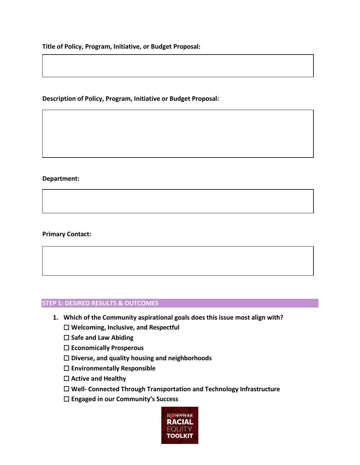**Title of Policy, Program, Initiative, or Budget Proposal:**

#### **Description of Policy, Program, Initiative or Budget Proposal:**

#### **Department:**

#### **Primary Contact:**

#### **STEP 1: DESIRED RESULTS & OUTCOMES**

- **1. Which of the Community aspirational goals does this issue most align with?**
	- ☐ **Welcoming, Inclusive, and Respectful**
	- ☐ **Safe and Law Abiding**
	- ☐ **Economically Prosperous**
	- ☐ **Diverse, and quality housing and neighborhoods**
	- ☐ **Environmentally Responsible**
	- ☐ **Active and Healthy**
	- ☐ **Well- Connected Through Transportation and Technology Infrastructure**
	- ☐ **Engaged in our Community's Success**

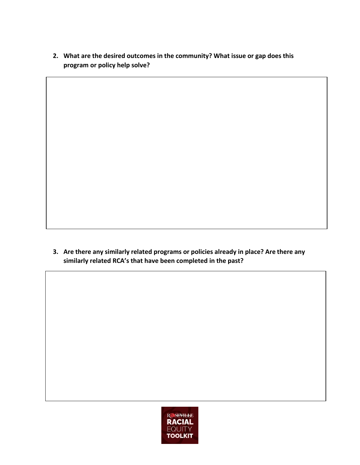**2. What are the desired outcomes in the community? What issue or gap does this program or policy help solve?**

**3. Are there any similarly related programs or policies already in place? Are there any similarly related RCA's that have been completed in the past?**

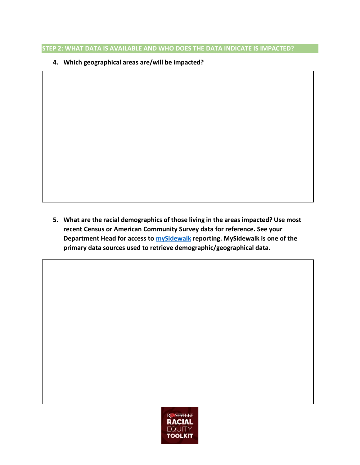#### **STEP 2: WHAT DATA IS AVAILABLE AND WHO DOES THE DATA INDICATE IS IMPACTED?**

**4. Which geographical areas are/will be impacted?**

**5. What are the racial demographics of those living in the areas impacted? Use most recent Census or American Community Survey data for reference. See your Department Head for access to [mySidewalk](https://www.mysidewalk.com/) reporting. MySidewalk is one of the primary data sources used to retrieve demographic/geographical data.**

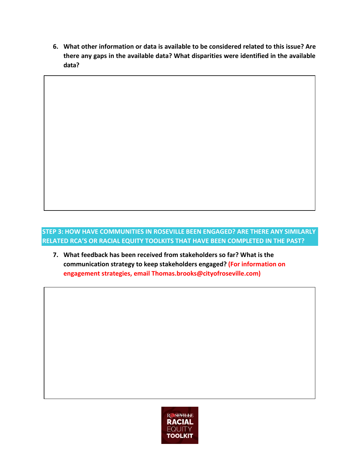**6. What other information or data is available to be considered related to this issue? Are there any gaps in the available data? What disparities were identified in the available data?**

#### **STEP 3: HOW HAVE COMMUNITIES IN ROSEVILLE BEEN ENGAGED? ARE THERE ANY SIMILARLY RELATED RCA'S OR RACIAL EQUITY TOOLKITS THAT HAVE BEEN COMPLETED IN THE PAST?**

**7. What feedback has been received from stakeholders so far? What is the communication strategy to keep stakeholders engaged? (For information on engagement strategies, email Thomas.brooks@cityofroseville.com)**

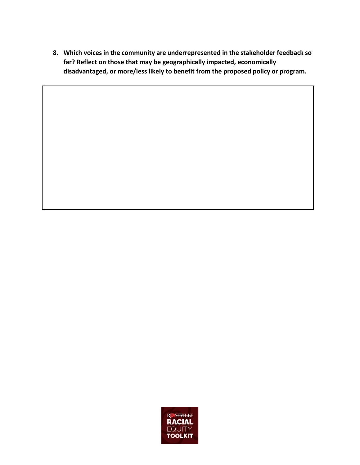**8. Which voices in the community are underrepresented in the stakeholder feedback so far? Reflect on those that may be geographically impacted, economically disadvantaged, or more/less likely to benefit from the proposed policy or program.**

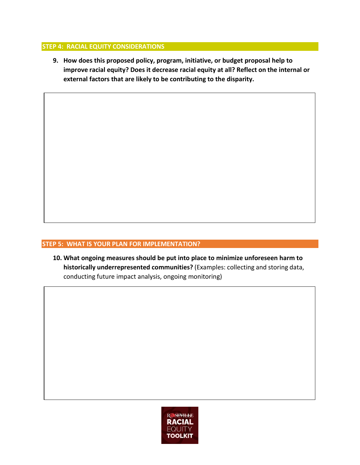#### **STEP 4: RACIAL EQUITY CONSIDERATIONS**

**9. How does this proposed policy, program, initiative, or budget proposal help to improve racial equity? Does it decrease racial equity at all? Reflect on the internal or external factors that are likely to be contributing to the disparity.**

#### **STEP 5: WHAT IS YOUR PLAN FOR IMPLEMENTATION?**

**10. What ongoing measures should be put into place to minimize unforeseen harm to historically underrepresented communities?** (Examples: collecting and storing data, conducting future impact analysis, ongoing monitoring)

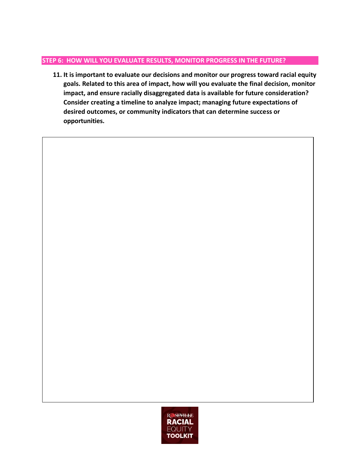#### **STEP 6: HOW WILL YOU EVALUATE RESULTS, MONITOR PROGRESS IN THE FUTURE?**

**11. It is important to evaluate our decisions and monitor our progress toward racial equity goals. Related to this area of impact, how will you evaluate the final decision, monitor impact, and ensure racially disaggregated data is available for future consideration? Consider creating a timeline to analyze impact; managing future expectations of desired outcomes, or community indicators that can determine success or opportunities.**

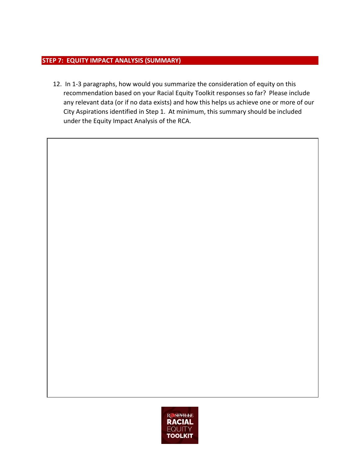#### **STEP 7: EQUITY IMPACT ANALYSIS (SUMMARY)**

12. In 1-3 paragraphs, how would you summarize the consideration of equity on this recommendation based on your Racial Equity Toolkit responses so far? Please include any relevant data (or if no data exists) and how this helps us achieve one or more of our City Aspirations identified in Step 1. At minimum, this summary should be included under the Equity Impact Analysis of the RCA.



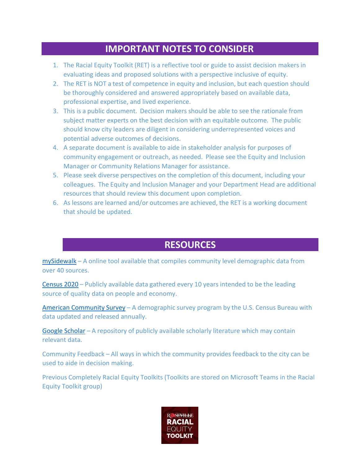### **IMPORTANT NOTES TO CONSIDER**

- 1. The Racial Equity Toolkit (RET) is a reflective tool or guide to assist decision makers in evaluating ideas and proposed solutions with a perspective inclusive of equity.
- 2. The RET is NOT a test of competence in equity and inclusion, but each question should be thoroughly considered and answered appropriately based on available data, professional expertise, and lived experience.
- 3. This is a public document. Decision makers should be able to see the rationale from subject matter experts on the best decision with an equitable outcome. The public should know city leaders are diligent in considering underrepresented voices and potential adverse outcomes of decisions.
- 4. A separate document is available to aide in stakeholder analysis for purposes of community engagement or outreach, as needed. Please see the Equity and Inclusion Manager or Community Relations Manager for assistance.
- 5. Please seek diverse perspectives on the completion of this document, including your colleagues. The Equity and Inclusion Manager and your Department Head are additional resources that should review this document upon completion.
- 6. As lessons are learned and/or outcomes are achieved, the RET is a working document that should be updated.

## **RESOURCES**

[mySidewalk](https://data.mysidewalk.com/sign-in) – A online tool available that compiles community level demographic data from over 40 sources.

[Census](https://www.census.gov/data.html) 2020 – Publicly available data gathered every 10 years intended to be the leading source of quality data on people and economy.

American [Community](https://www.census.gov/programs-surveys/acs/data/data-tables.html) Survey – A demographic survey program by the U.S. Census Bureau with data updated and released annually.

Google [Scholar](https://scholar.google.com/) – A repository of publicly available scholarly literature which may contain relevant data.

Community Feedback – All ways in which the community provides feedback to the city can be used to aide in decision making.

Previous Completely Racial Equity Toolkits (Toolkits are stored on Microsoft Teams in the Racial Equity Toolkit group)

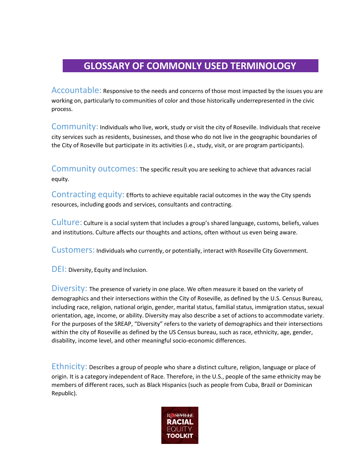## **GLOSSARY OF COMMONLY USED TERMINOLOGY**

Accountable: Responsive to the needs and concerns of those most impacted by the issues you are working on, particularly to communities of color and those historically underrepresented in the civic process.

Community: Individuals who live, work, study or visit the city of Roseville. Individuals that receive city services such as residents, businesses, and those who do not live in the geographic boundaries of the City of Roseville but participate in its activities (i.e., study, visit, or are program participants).

Community outcomes: The specific result you are seeking to achieve that advances racial equity.

Contracting equity: Efforts to achieve equitable racial outcomes in the way the City spends resources, including goods and services, consultants and contracting.

Culture: Culture is a social system that includes a group's shared language, customs, beliefs, values and institutions. Culture affects our thoughts and actions, often without us even being aware.

Customers: Individuals who currently, or potentially, interact with Roseville City Government.

DEI: Diversity, Equity and Inclusion.

Diversity: The presence of variety in one place. We often measure it based on the variety of demographics and their intersections within the City of Roseville, as defined by the U.S. Census Bureau, including race, religion, national origin, gender, marital status, familial status, immigration status, sexual orientation, age, income, or ability. Diversity may also describe a set of actions to accommodate variety. For the purposes of the SREAP, "Diversity" refers to the variety of demographics and their intersections within the city of Roseville as defined by the US Census bureau, such as race, ethnicity, age, gender, disability, income level, and other meaningful socio-economic differences.

Ethnicity: Describes a group of people who share a distinct culture, religion, language or place of origin. It is a category independent of Race. Therefore, in the U.S., people of the same ethnicity may be members of different races, such as Black Hispanics (such as people from Cuba, Brazil or Dominican Republic).

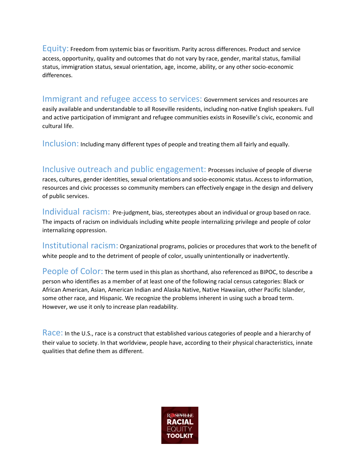Equity: Freedom from systemic bias or favoritism. Parity across differences. Product and service access, opportunity, quality and outcomes that do not vary by race, gender, marital status, familial status, immigration status, sexual orientation, age, income, ability, or any other socio-economic differences.

Immigrant and refugee access to services: Government services and resources are easily available and understandable to all Roseville residents, including non-native English speakers. Full and active participation of immigrant and refugee communities exists in Roseville's civic, economic and cultural life.

Inclusion: Including many different types of people and treating them all fairly and equally.

Inclusive outreach and public engagement: Processes inclusive of people of diverse races, cultures, gender identities, sexual orientations and socio-economic status. Access to information, resources and civic processes so community members can effectively engage in the design and delivery of public services.

Individual racism: Pre-judgment, bias, stereotypes about an individual or group based on race. The impacts of racism on individuals including white people internalizing privilege and people of color internalizing oppression.

Institutional racism: Organizational programs, policies or procedures that work to the benefit of white people and to the detriment of people of color, usually unintentionally or inadvertently.

People of Color: The term used in this plan as shorthand, also referenced as BIPOC, to describe a person who identifies as a member of at least one of the following racial census categories: Black or African American, Asian, American Indian and Alaska Native, Native Hawaiian, other Pacific Islander, some other race, and Hispanic. We recognize the problems inherent in using such a broad term. However, we use it only to increase plan readability.

Race: In the U.S., race is a construct that established various categories of people and a hierarchy of their value to society. In that worldview, people have, according to their physical characteristics, innate qualities that define them as different.